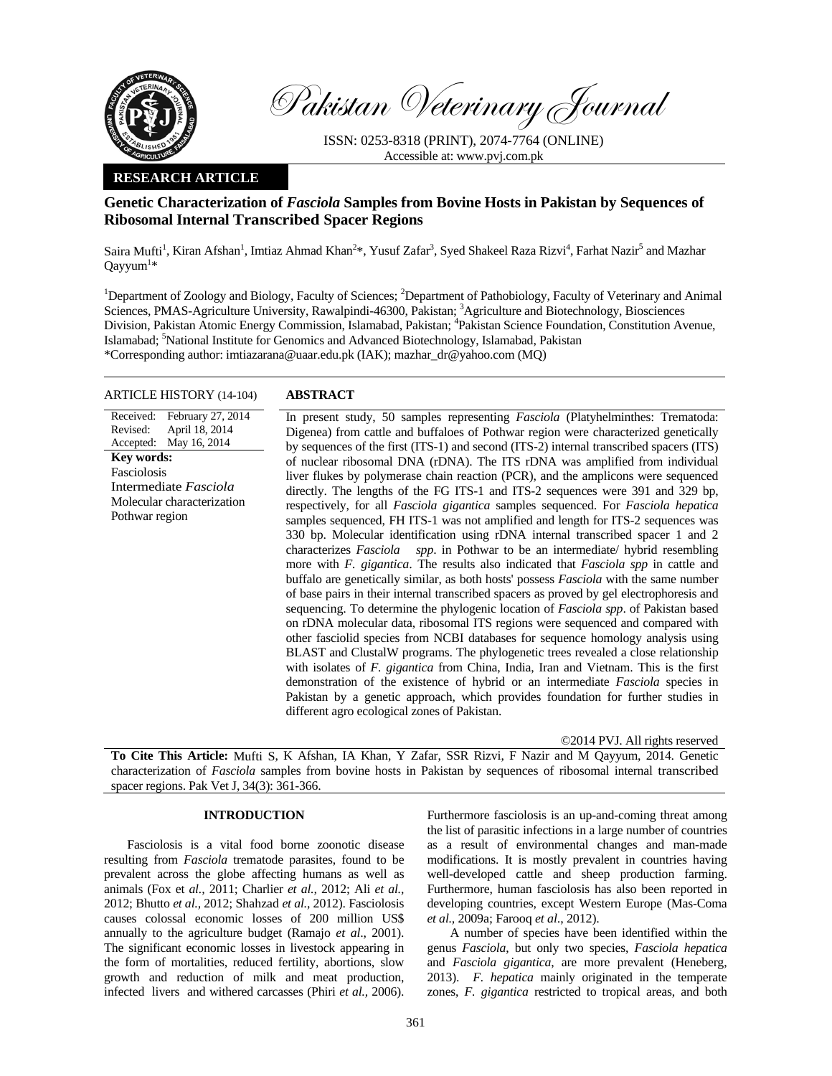

Pakistan Veterinary Journal

ISSN: 0253-8318 (PRINT), 2074-7764 (ONLINE) Accessible at: www.pvj.com.pk

## **RESEARCH ARTICLE**

# **Genetic Characterization of** *Fasciola* **Samples from Bovine Hosts in Pakistan by Sequences of Ribosomal Internal Transcribed Spacer Regions**

Saira Mufti<sup>1</sup>, Kiran Afshan<sup>1</sup>, Imtiaz Ahmad Khan<sup>2\*</sup>, Yusuf Zafar<sup>3</sup>, Syed Shakeel Raza Rizvi<sup>4</sup>, Farhat Nazir<sup>5</sup> and Mazhar  $Q$ ayyum<sup>1</sup>\*

<sup>1</sup>Department of Zoology and Biology, Faculty of Sciences; <sup>2</sup>Department of Pathobiology, Faculty of Veterinary and Animal Sciences, PMAS-Agriculture University, Rawalpindi-46300, Pakistan; <sup>3</sup>Agriculture and Biotechnology, Biosciences Division, Pakistan Atomic Energy Commission, Islamabad, Pakistan; <sup>4</sup>Pakistan Science Foundation, Constitution Avenue, Islamabad; <sup>5</sup>National Institute for Genomics and Advanced Biotechnology, Islamabad, Pakistan \*Corresponding author: imtiazarana@uaar.edu.pk (IAK); mazhar\_dr@yahoo.com (MQ)

## ARTICLE HISTORY (14-104) **ABSTRACT**

#### Received: February 27, 2014 Revised: Accepted: April 18, 2014 May 16, 2014 **Key words:**  Fasciolosis Intermediate *Fasciola*  Molecular characterization Pothwar region

 In present study, 50 samples representing *Fasciola* (Platyhelminthes: Trematoda: Digenea) from cattle and buffaloes of Pothwar region were characterized genetically by sequences of the first (ITS-1) and second (ITS-2) internal transcribed spacers (ITS) of nuclear ribosomal DNA (rDNA). The ITS rDNA was amplified from individual liver flukes by polymerase chain reaction (PCR), and the amplicons were sequenced directly. The lengths of the FG ITS-1 and ITS-2 sequences were 391 and 329 bp, respectively, for all *Fasciola gigantica* samples sequenced. For *Fasciola hepatica*  samples sequenced, FH ITS-1 was not amplified and length for ITS-2 sequences was 330 bp. Molecular identification using rDNA internal transcribed spacer 1 and 2 characterizes *Fasciola spp*. in Pothwar to be an intermediate/ hybrid resembling more with *F. gigantica*. The results also indicated that *Fasciola spp* in cattle and buffalo are genetically similar, as both hosts' possess *Fasciola* with the same number of base pairs in their internal transcribed spacers as proved by gel electrophoresis and sequencing. To determine the phylogenic location of *Fasciola spp*. of Pakistan based on rDNA molecular data, ribosomal ITS regions were sequenced and compared with other fasciolid species from NCBI databases for sequence homology analysis using BLAST and ClustalW programs. The phylogenetic trees revealed a close relationship with isolates of *F. gigantica* from China, India, Iran and Vietnam. This is the first demonstration of the existence of hybrid or an intermediate *Fasciola* species in Pakistan by a genetic approach, which provides foundation for further studies in different agro ecological zones of Pakistan.

©2014 PVJ. All rights reserved

**To Cite This Article:** Mufti S, K Afshan, IA Khan, Y Zafar, SSR Rizvi, F Nazir and M Qayyum, 2014. Genetic characterization of *Fasciola* samples from bovine hosts in Pakistan by sequences of ribosomal internal transcribed spacer regions. Pak Vet J, 34(3): 361-366.

# **INTRODUCTION**

Fasciolosis is a vital food borne zoonotic disease resulting from *Fasciola* trematode parasites, found to be prevalent across the globe affecting humans as well as animals (Fox et *al.,* 2011; Charlier *et al.,* 2012; Ali *et al.,* 2012; Bhutto *et al.,* 2012; Shahzad *et al.,* 2012). Fasciolosis causes colossal economic losses of 200 million US\$ annually to the agriculture budget (Ramajo *et al*., 2001). The significant economic losses in livestock appearing in the form of mortalities, reduced fertility, abortions, slow growth and reduction of milk and meat production, infected livers and withered carcasses (Phiri *et al.,* 2006).

Furthermore fasciolosis is an up-and-coming threat among the list of parasitic infections in a large number of countries as a result of environmental changes and man-made modifications. It is mostly prevalent in countries having well-developed cattle and sheep production farming. Furthermore, human fasciolosis has also been reported in developing countries, except Western Europe (Mas-Coma *et al.,* 2009a; Farooq *et al*., 2012).

A number of species have been identified within the genus *Fasciola*, but only two species, *Fasciola hepatica* and *Fasciola gigantica*, are more prevalent (Heneberg, 2013). *F. hepatica* mainly originated in the temperate zones, *F. gigantica* restricted to tropical areas, and both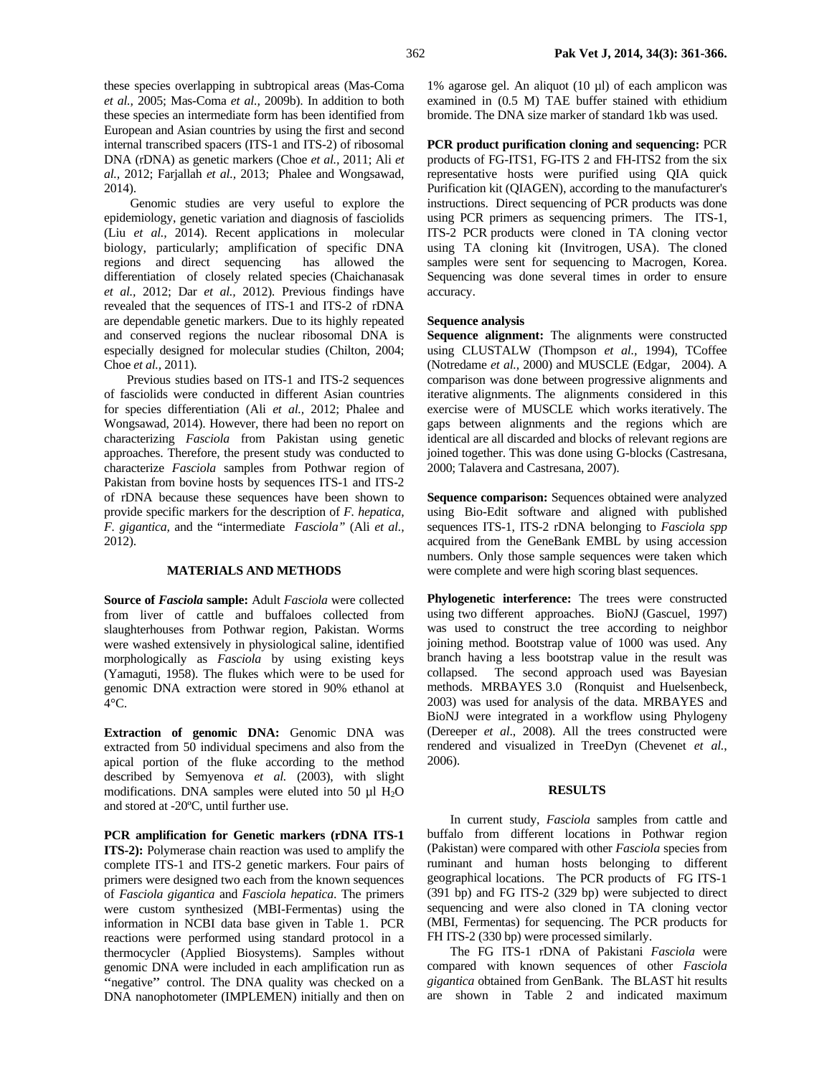these species overlapping in subtropical areas (Mas-Coma *et al.,* 2005; Mas-Coma *et al.,* 2009b). In addition to both these species an intermediate form has been identified from European and Asian countries by using the first and second internal transcribed spacers (ITS-1 and ITS-2) of ribosomal DNA (rDNA) as genetic markers (Choe *et al.,* 2011; Ali *et al.,* 2012; Farjallah *et al.,* 2013; Phalee and Wongsawad, 2014).

 Genomic studies are very useful to explore the epidemiology, genetic variation and diagnosis of fasciolids (Liu *et al.,* 2014). Recent applications in molecular biology, particularly; amplification of specific DNA regions and direct sequencing has allowed the differentiation of closely related species (Chaichanasak *et al.,* 2012; Dar *et al.,* 2012). Previous findings have revealed that the sequences of ITS-1 and ITS-2 of rDNA are dependable genetic markers. Due to its highly repeated and conserved regions the nuclear ribosomal DNA is especially designed for molecular studies (Chilton, 2004; Choe *et al.,* 2011).

Previous studies based on ITS-1 and ITS-2 sequences of fasciolids were conducted in different Asian countries for species differentiation (Ali *et al.,* 2012; Phalee and Wongsawad, 2014). However, there had been no report on characterizing *Fasciola* from Pakistan using genetic approaches. Therefore, the present study was conducted to characterize *Fasciola* samples from Pothwar region of Pakistan from bovine hosts by sequences ITS-1 and ITS-2 of rDNA because these sequences have been shown to provide specific markers for the description of *F. hepatica, F. gigantica,* and the "intermediate *Fasciola"* (Ali *et al.,* 2012).

## **MATERIALS AND METHODS**

**Source of** *Fasciola* **sample:** Adult *Fasciola* were collected from liver of cattle and buffaloes collected from slaughterhouses from Pothwar region, Pakistan. Worms were washed extensively in physiological saline, identified morphologically as *Fasciola* by using existing keys (Yamaguti, 1958). The flukes which were to be used for genomic DNA extraction were stored in 90% ethanol at  $4^{\circ}$ C.

**Extraction of genomic DNA:** Genomic DNA was extracted from 50 individual specimens and also from the apical portion of the fluke according to the method described by Semyenova *et al.* (2003), with slight modifications. DNA samples were eluted into 50  $\mu$ l H<sub>2</sub>O and stored at -20ºC, until further use.

**PCR amplification for Genetic markers (rDNA ITS-1 ITS-2):** Polymerase chain reaction was used to amplify the complete ITS-1 and ITS-2 genetic markers. Four pairs of primers were designed two each from the known sequences of *Fasciola gigantica* and *Fasciola hepatica*. The primers were custom synthesized (MBI-Fermentas) using the information in NCBI data base given in Table 1. PCR reactions were performed using standard protocol in a thermocycler (Applied Biosystems). Samples without genomic DNA were included in each amplification run as "negative" control. The DNA quality was checked on a DNA nanophotometer (IMPLEMEN) initially and then on

1% agarose gel. An aliquot (10 µl) of each amplicon was examined in (0.5 M) TAE buffer stained with ethidium bromide. The DNA size marker of standard 1kb was used.

**PCR product purification cloning and sequencing:** PCR products of FG-ITS1, FG-ITS 2 and FH-ITS2 from the six representative hosts were purified using QIA quick Purification kit (QIAGEN), according to the manufacturer's instructions. Direct sequencing of PCR products was done using PCR primers as sequencing primers. The ITS-1, ITS-2 PCR products were cloned in TA cloning vector using TA cloning kit (Invitrogen, USA). The cloned samples were sent for sequencing to Macrogen, Korea. Sequencing was done several times in order to ensure accuracy.

## **Sequence analysis**

**Sequence alignment:** The alignments were constructed using CLUSTALW (Thompson *et al.,* 1994), TCoffee (Notredame *et al.,* 2000) and MUSCLE (Edgar, 2004). A comparison was done between progressive alignments and iterative alignments. The alignments considered in this exercise were of MUSCLE which works iteratively. The gaps between alignments and the regions which are identical are all discarded and blocks of relevant regions are joined together. This was done using G-blocks (Castresana, 2000; Talavera and Castresana, 2007).

**Sequence comparison:** Sequences obtained were analyzed using Bio-Edit software and aligned with published sequences ITS-1, ITS-2 rDNA belonging to *Fasciola spp*  acquired from the GeneBank EMBL by using accession numbers. Only those sample sequences were taken which were complete and were high scoring blast sequences.

**Phylogenetic interference:** The trees were constructed using two different approaches. BioNJ (Gascuel, 1997) was used to construct the tree according to neighbor joining method. Bootstrap value of 1000 was used. Any branch having a less bootstrap value in the result was collapsed. The second approach used was Bayesian methods. MRBAYES 3.0 (Ronquist and Huelsenbeck, 2003) was used for analysis of the data. MRBAYES and BioNJ were integrated in a workflow using Phylogeny (Dereeper *et al*., 2008). All the trees constructed were rendered and visualized in TreeDyn (Chevenet *et al.*, 2006).

### **RESULTS**

In current study, *Fasciola* samples from cattle and buffalo from different locations in Pothwar region (Pakistan) were compared with other *Fasciola* species from ruminant and human hosts belonging to different geographical locations. The PCR products of FG ITS-1 (391 bp) and FG ITS-2 (329 bp) were subjected to direct sequencing and were also cloned in TA cloning vector (MBI, Fermentas) for sequencing. The PCR products for FH ITS-2 (330 bp) were processed similarly.

The FG ITS-1 rDNA of Pakistani *Fasciola* were compared with known sequences of other *Fasciola gigantica* obtained from GenBank. The BLAST hit results are shown in Table 2 and indicated maximum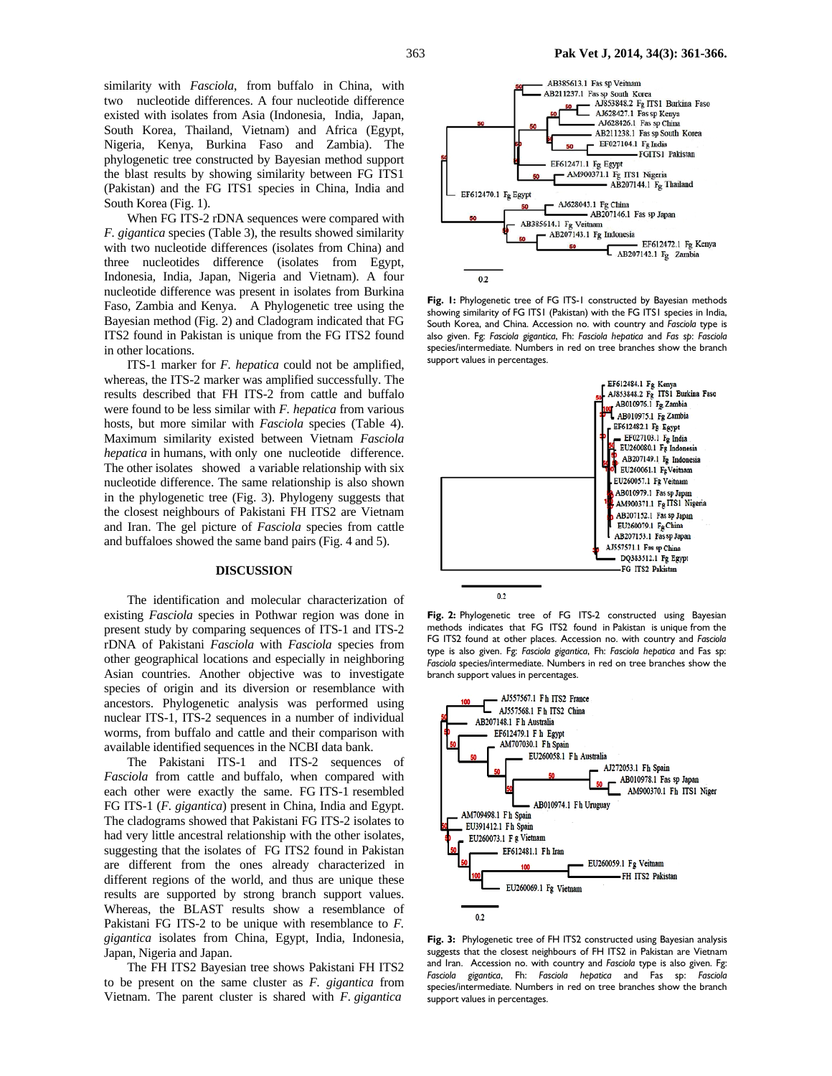similarity with *Fasciola*, from buffalo in China, with two nucleotide differences. A four nucleotide difference existed with isolates from Asia (Indonesia, India, Japan, South Korea, Thailand, Vietnam) and Africa (Egypt, Nigeria, Kenya, Burkina Faso and Zambia). The phylogenetic tree constructed by Bayesian method support the blast results by showing similarity between FG ITS1 (Pakistan) and the FG ITS1 species in China, India and South Korea (Fig. 1).

When FG ITS-2 rDNA sequences were compared with *F. gigantica* species (Table 3), the results showed similarity with two nucleotide differences (isolates from China) and three nucleotides difference (isolates from Egypt, Indonesia, India, Japan, Nigeria and Vietnam). A four nucleotide difference was present in isolates from Burkina Faso, Zambia and Kenya. A Phylogenetic tree using the Bayesian method (Fig. 2) and Cladogram indicated that FG ITS2 found in Pakistan is unique from the FG ITS2 found in other locations.

ITS-1 marker for *F. hepatica* could not be amplified, whereas, the ITS-2 marker was amplified successfully. The results described that FH ITS-2 from cattle and buffalo were found to be less similar with *F. hepatica* from various hosts, but more similar with *Fasciola* species (Table 4). Maximum similarity existed between Vietnam *Fasciola hepatica* in humans, with only one nucleotide difference. The other isolates showed a variable relationship with six nucleotide difference. The same relationship is also shown in the phylogenetic tree (Fig. 3). Phylogeny suggests that the closest neighbours of Pakistani FH ITS2 are Vietnam and Iran. The gel picture of *Fasciola* species from cattle and buffaloes showed the same band pairs (Fig. 4 and 5).

#### **DISCUSSION**

The identification and molecular characterization of existing *Fasciola* species in Pothwar region was done in present study by comparing sequences of ITS-1 and ITS-2 rDNA of Pakistani *Fasciola* with *Fasciola* species from other geographical locations and especially in neighboring Asian countries. Another objective was to investigate species of origin and its diversion or resemblance with ancestors. Phylogenetic analysis was performed using nuclear ITS-1, ITS-2 sequences in a number of individual worms, from buffalo and cattle and their comparison with available identified sequences in the NCBI data bank.

The Pakistani ITS-1 and ITS-2 sequences of *Fasciola* from cattle and buffalo, when compared with each other were exactly the same. FG ITS-1 resembled FG ITS-1 (*F. gigantica*) present in China, India and Egypt. The cladograms showed that Pakistani FG ITS-2 isolates to had very little ancestral relationship with the other isolates, suggesting that the isolates of FG ITS2 found in Pakistan are different from the ones already characterized in different regions of the world, and thus are unique these results are supported by strong branch support values. Whereas, the BLAST results show a resemblance of Pakistani FG ITS-2 to be unique with resemblance to *F. gigantica* isolates from China, Egypt, India, Indonesia, Japan, Nigeria and Japan.

The FH ITS2 Bayesian tree shows Pakistani FH ITS2 to be present on the same cluster as *F. gigantica* from Vietnam. The parent cluster is shared with *F. gigantica*



**Fig. 1:** Phylogenetic tree of FG ITS-1 constructed by Bayesian methods showing similarity of FG ITS1 (Pakistan) with the FG ITS1 species in India, South Korea, and China. Accession no. with country and *Fasciola* type is also given. Fg: *Fasciola gigantica*, Fh: *Fasciola hepatica* and *Fas sp*: *Fasciola*  species/intermediate. Numbers in red on tree branches show the branch support values in percentages.



**Fig. 2:** Phylogenetic tree of FG ITS-2 constructed using Bayesian methods indicates that FG ITS2 found in Pakistan is unique from the FG ITS2 found at other places. Accession no. with country and *Fasciola*  type is also given. Fg: *Fasciola gigantica*, Fh: *Fasciola hepatica* and Fas sp: *Fasciola* species/intermediate. Numbers in red on tree branches show the branch support values in percentages.



**Fig. 3:** Phylogenetic tree of FH ITS2 constructed using Bayesian analysis suggests that the closest neighbours of FH ITS2 in Pakistan are Vietnam and Iran. Accession no. with country and *Fasciola* type is also given. Fg: *Fasciola gigantica*, Fh: *Fasciola hepatica* and Fas sp: *Fasciola*  species/intermediate. Numbers in red on tree branches show the branch support values in percentages.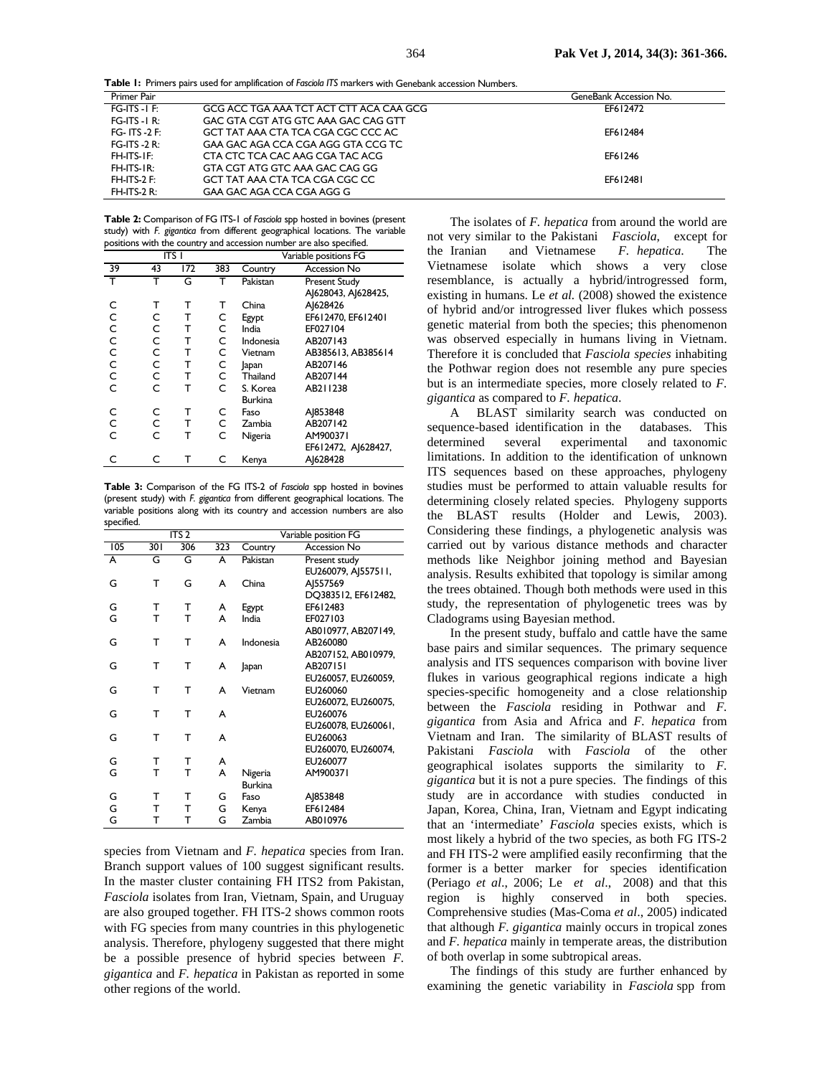**Table 1:** Primers pairs used for amplification of *Fasciola ITS* markers with Genebank accession Numbers.

| Primer Pair       |                                         | GeneBank Accession No. |
|-------------------|-----------------------------------------|------------------------|
| $FG-ITS - I F:$   | GCG ACC TGA AAA TCT ACT CTT ACA CAA GCG | EF612472               |
| $FG-ITS - I R:$   | GAC GTA CGT ATG GTC AAA GAC CAG GTT     |                        |
| FG- ITS -2 $F$ :  | GCT TAT AAA CTA TCA CGA CGC CCC AC      | EF612484               |
| FG-ITS -2 $R$ :   | GAA GAC AGA CCA CGA AGG GTA CCG TC      |                        |
| FH-ITS-IF:        | CTA CTC TCA CAC AAG CGA TAC ACG         | EF61246                |
| $FH$ -ITS-IR:     | GTA CGT ATG GTC AAA GAC CAG GG          |                        |
| $FH$ -ITS-2 $F$ : | GCT TAT AAA CTA TCA CGA CGC CC          | EF612481               |
| $FH$ -ITS-2 R:    | GAA GAC AGA CCA CGA AGG G               |                        |

**Table 2:** Comparison of FG ITS-1 of *Fasciola* spp hosted in bovines (present study) with *F. gigantica* from different geographical locations. The variable positions with the country and accession number are also specified.

| ITS I          |    |     |     | Variable positions FG |                      |
|----------------|----|-----|-----|-----------------------|----------------------|
| 39             | 43 | 172 | 383 | Country               | <b>Accession No</b>  |
|                |    | G   |     | Pakistan              | <b>Present Study</b> |
|                |    |     |     |                       | A 628043, A 628425,  |
| C              | т  | т   | т   | China                 | A 628426             |
| $\mathsf{C}$   | C  | т   | C   | Egypt                 | EF612470, EF612401   |
| $\overline{c}$ | C  | т   | C   | India                 | EF027104             |
|                | C  | т   | C   | Indonesia             | AB207143             |
| $\overline{c}$ | Ċ  | т   | C   | Vietnam               | AB385613, AB385614   |
| $\frac{c}{c}$  | C  | т   | с   | Japan                 | AB207146             |
|                | C  | т   | C   | Thailand              | AB207144             |
| $\mathsf{C}$   | Ċ  | т   | C   | S. Korea              | AB211238             |
|                |    |     |     | <b>Burkina</b>        |                      |
| C              | C  | т   | C   | Faso                  | AJ853848             |
| $\mathsf{C}$   | С  | т   | C   | Zambia                | AB207142             |
| Ċ              | Ċ  | т   | C   | Nigeria               | AM900371             |
|                |    |     |     |                       | EF612472, AJ628427,  |
| C              | C  | т   | C   | Kenya                 | A 628428             |

**Table 3:** Comparison of the FG ITS-2 of *Fasciola* spp hosted in bovines (present study) with *F. gigantica* from different geographical locations. The variable positions along with its country and accession numbers are also specified.

| ITS <sub>2</sub> |     |     |     | Variable position FG |                     |
|------------------|-----|-----|-----|----------------------|---------------------|
| 105              | 301 | 306 | 323 | Country              | <b>Accession No</b> |
| A                | G   | G   | А   | Pakistan             | Present study       |
|                  |     |     |     |                      | EU260079, AJ557511, |
| G                | т   | G   | A   | China                | AJ557569            |
|                  |     |     |     |                      | DQ383512, EF612482, |
| G                | т   | т   | A   | Egypt                | EF612483            |
| G                | T   | T   | A   | India                | EF027103            |
|                  |     |     |     |                      | AB010977, AB207149, |
| G                | т   | т   | A   | Indonesia            | AB260080            |
|                  |     |     |     |                      | AB207152, AB010979, |
| G                | т   | т   | A   | Japan                | AB207151            |
|                  |     |     |     |                      | EU260057, EU260059, |
| G                | т   | т   | A   | Vietnam              | EU260060            |
|                  |     |     |     |                      | EU260072, EU260075, |
| G                | т   | т   | A   |                      | EU260076            |
|                  |     |     |     |                      | EU260078, EU260061, |
| G                | т   | т   | A   |                      | EU260063            |
|                  |     |     |     |                      | EU260070, EU260074, |
| G                | т   | т   | A   |                      | EU260077            |
| G                | т   | т   | A   | Nigeria              | AM900371            |
|                  |     |     |     | <b>Burkina</b>       |                     |
| G                | т   | т   | G   | Faso                 | AJ853848            |
| G                | т   | т   | G   | Kenya                | EF612484            |
| G                | т   | т   | G   | Zambia               | AB010976            |

species from Vietnam and *F. hepatica* species from Iran. Branch support values of 100 suggest significant results. In the master cluster containing FH ITS2 from Pakistan, *Fasciola* isolates from Iran, Vietnam, Spain, and Uruguay are also grouped together. FH ITS-2 shows common roots with FG species from many countries in this phylogenetic analysis. Therefore, phylogeny suggested that there might be a possible presence of hybrid species between *F. gigantica* and *F. hepatica* in Pakistan as reported in some other regions of the world.

The isolates of *F. hepatica* from around the world are not very similar to the Pakistani *Fasciola*, except for the Iranian and Vietnamese *F. hepatica*. The Vietnamese isolate which shows a very close resemblance, is actually a hybrid/introgressed form, existing in humans. Le *et al.* (2008) showed the existence of hybrid and/or introgressed liver flukes which possess genetic material from both the species; this phenomenon was observed especially in humans living in Vietnam. Therefore it is concluded that *Fasciola species* inhabiting the Pothwar region does not resemble any pure species but is an intermediate species, more closely related to *F. gigantica* as compared to *F. hepatica*.

A BLAST similarity search was conducted on sequence-based identification in the databases. This determined several experimental and taxonomic limitations. In addition to the identification of unknown ITS sequences based on these approaches, phylogeny studies must be performed to attain valuable results for determining closely related species. Phylogeny supports the BLAST results (Holder and Lewis, 2003). Considering these findings, a phylogenetic analysis was carried out by various distance methods and character methods like Neighbor joining method and Bayesian analysis. Results exhibited that topology is similar among the trees obtained. Though both methods were used in this study, the representation of phylogenetic trees was by Cladograms using Bayesian method.

In the present study, buffalo and cattle have the same base pairs and similar sequences. The primary sequence analysis and ITS sequences comparison with bovine liver flukes in various geographical regions indicate a high species-specific homogeneity and a close relationship between the *Fasciola* residing in Pothwar and *F. gigantica* from Asia and Africa and *F. hepatica* from Vietnam and Iran. The similarity of BLAST results of Pakistani *Fasciola* with *Fasciola* of the other geographical isolates supports the similarity to *F. gigantica* but it is not a pure species. The findings of this study are in accordance with studies conducted in Japan, Korea, China, Iran, Vietnam and Egypt indicating that an 'intermediate' *Fasciola* species exists, which is most likely a hybrid of the two species, as both FG ITS-2 and FH ITS-2 were amplified easily reconfirming that the former is a better marker for species identification (Periago *et al*., 2006; Le *et al*., 2008) and that this region is highly conserved in both species. Comprehensive studies (Mas-Coma *et al*., 2005) indicated that although *F. gigantica* mainly occurs in tropical zones and *F. hepatica* mainly in temperate areas, the distribution of both overlap in some subtropical areas.

The findings of this study are further enhanced by examining the genetic variability in *Fasciola* spp from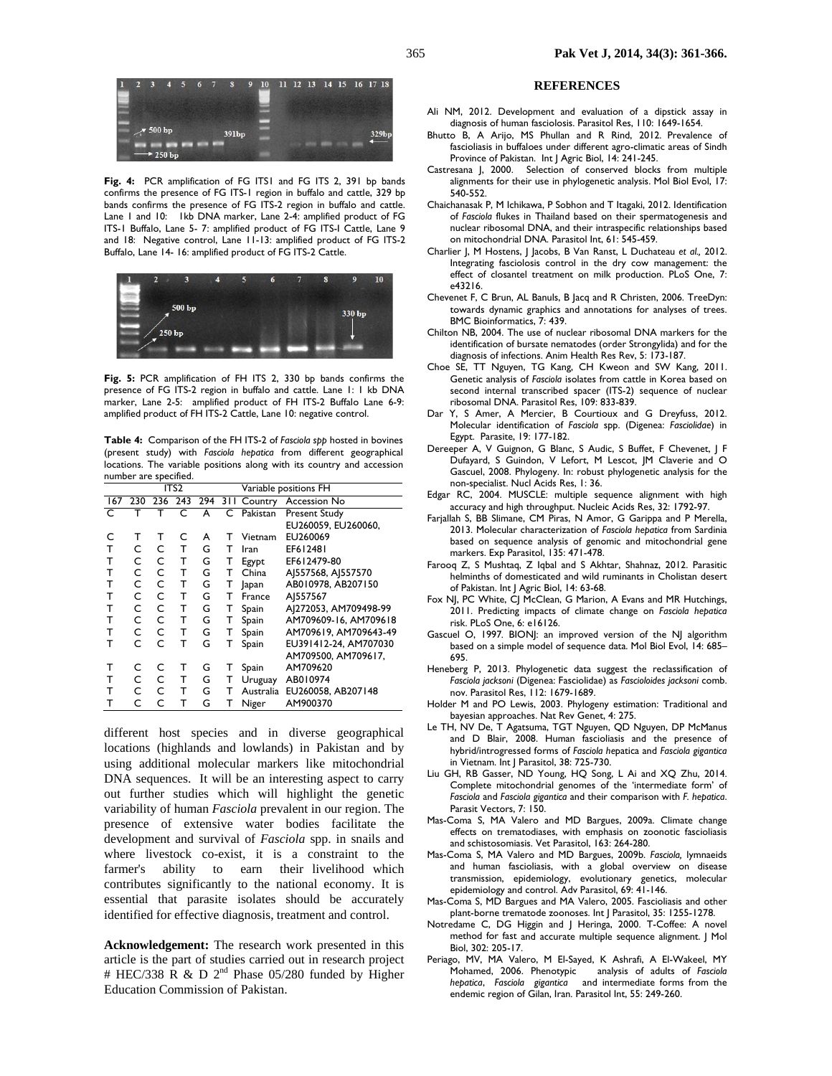

Fig. 4: PCR amplification of FG ITS1 and FG ITS 2, 391 bp bands confirms the presence of FG ITS-1 region in buffalo and cattle, 329 bp bands confirms the presence of FG ITS-2 region in buffalo and cattle. Lane 1 and 10: Ikb DNA marker, Lane 2-4: amplified product of FG ITS-1 Buffalo, Lane 5- 7: amplified product of FG ITS-I Cattle, Lane 9 and 18: Negative control, Lane 11-13: amplified product of FG ITS-2 Buffalo, Lane 14- 16: amplified product of FG ITS-2 Cattle.



**Fig. 5:** PCR amplification of FH ITS 2, 330 bp bands confirms the presence of FG ITS-2 region in buffalo and cattle. Lane 1: 1 kb DNA marker, Lane 2-5: amplified product of FH ITS-2 Buffalo Lane 6-9: amplified product of FH ITS-2 Cattle, Lane 10: negative control.

**Table 4:** Comparison of the FH ITS-2 of *Fasciola spp* hosted in bovines (present study) with *Fasciola hepatica* from different geographical locations. The variable positions along with its country and accession number are specified.

|              | ITS <sub>2</sub> |   |   |   |   | Variable positions FH |                              |
|--------------|------------------|---|---|---|---|-----------------------|------------------------------|
|              | 167 230 236 243  |   |   |   |   |                       | 294 311 Country Accession No |
| $\mathsf{C}$ |                  |   | C | A |   | C Pakistan            | <b>Present Study</b>         |
|              |                  |   |   |   |   |                       | EU260059, EU260060,          |
| C            | т                | т | C | A | т | Vietnam               | EU260069                     |
| т            | C                | C | т | G | т | Iran                  | EF612481                     |
| т            | C                | C | т | G | т | Egypt                 | EF612479-80                  |
| т            | C                | C | т | G | т | China                 | AJ557568, AJ557570           |
| т            | C                | C | т | G | т | Japan                 | AB010978, AB207150           |
| т            | C                | C | т | G | т | France                | AJ557567                     |
| т            | C                | C | т | G | т | Spain                 | AJ272053, AM709498-99        |
| т            | C                | C | т | G | т | Spain                 | AM709609-16, AM709618        |
| т            | C                | C | т | G | т | Spain                 | AM709619, AM709643-49        |
| т            | C                | C | т | G | т | Spain                 | EU391412-24, AM707030        |
|              |                  |   |   |   |   |                       | AM709500, AM709617,          |
| т            | C                | C | т | G | т | Spain                 | AM709620                     |
| т            | C                | C | т | G | т | Uruguay               | AB010974                     |
| т            | C                | C | т | G | т | Australia             | EU260058, AB207148           |
| т            | C                | C | т | G | т | Niger                 | AM900370                     |

different host species and in diverse geographical locations (highlands and lowlands) in Pakistan and by using additional molecular markers like mitochondrial DNA sequences. It will be an interesting aspect to carry out further studies which will highlight the genetic variability of human *Fasciola* prevalent in our region. The presence of extensive water bodies facilitate the development and survival of *Fasciola* spp. in snails and where livestock co-exist, it is a constraint to the farmer's ability to earn their livelihood which contributes significantly to the national economy. It is essential that parasite isolates should be accurately identified for effective diagnosis, treatment and control.

**Acknowledgement:** The research work presented in this article is the part of studies carried out in research project # HEC/338 R & D  $2^{nd}$  Phase 05/280 funded by Higher Education Commission of Pakistan.

#### **REFERENCES**

- Ali NM, 2012. Development and evaluation of a dipstick assay in diagnosis of human fasciolosis. Parasitol Res, 110: 1649-1654.
- Bhutto B, A Arijo, MS Phullan and R Rind, 2012. Prevalence of fascioliasis in buffaloes under different agro-climatic areas of Sindh Province of Pakistan. Int J Agric Biol, 14: 241-245.
- Castresana J, 2000. Selection of conserved blocks from multiple alignments for their use in phylogenetic analysis. Mol Biol Evol, 17: 540-552.
- Chaichanasak P, M Ichikawa, P Sobhon and T Itagaki, 2012. Identification of *Fasciola* flukes in Thailand based on their spermatogenesis and nuclear ribosomal DNA, and their intraspecific relationships based on mitochondrial DNA. Parasitol Int, 61: 545-459.
- Charlier J, M Hostens, J Jacobs, B Van Ranst, L Duchateau *et al.,* 2012. Integrating fasciolosis control in the dry cow management: the effect of closantel treatment on milk production. PLoS One, 7: e43216.
- Chevenet F, C Brun, AL Banuls, B Jacq and R Christen, 2006. TreeDyn: towards dynamic graphics and annotations for analyses of trees. BMC Bioinformatics, 7: 439.
- Chilton NB, 2004. The use of nuclear ribosomal DNA markers for the identification of bursate nematodes (order Strongylida) and for the diagnosis of infections. Anim Health Res Rev, 5: 173-187.
- Choe SE, TT Nguyen, TG Kang, CH Kweon and SW Kang, 2011. Genetic analysis of *Fasciola* isolates from cattle in Korea based on second internal transcribed spacer (ITS-2) sequence of nuclear ribosomal DNA. Parasitol Res, 109: 833-839.
- Dar Y, S Amer, A Mercier, B Courtioux and G Dreyfuss, 2012. Molecular identification of *Fasciola* spp. (Digenea: *Fasciolidae*) in Egypt. Parasite, 19: 177-182.
- Dereeper A, V Guignon, G Blanc, S Audic, S Buffet, F Chevenet, J F Dufayard, S Guindon, V Lefort, M Lescot, JM Claverie and O Gascuel, 2008. Phylogeny. In: robust phylogenetic analysis for the non-specialist. Nucl Acids Res, 1: 36.
- Edgar RC, 2004. MUSCLE: multiple sequence alignment with high accuracy and high throughput. Nucleic Acids Res, 32: 1792-97.
- Farjallah S, BB Slimane, CM Piras, N Amor, G Garippa and P Merella, 2013. Molecular characterization of *Fasciola hepatica* from Sardinia based on sequence analysis of genomic and mitochondrial gene markers. Exp Parasitol, 135: 471-478.
- Farooq Z, S Mushtaq, Z Iqbal and S Akhtar, Shahnaz, 2012. Parasitic helminths of domesticated and wild ruminants in Cholistan desert of Pakistan. Int J Agric Biol, 14: 63-68.
- Fox NJ, PC White, CJ McClean, G Marion, A Evans and MR Hutchings, 2011. Predicting impacts of climate change on *Fasciola hepatica* risk. PLoS One, 6: e16126.
- Gascuel O, 1997*.* BIONJ: an improved version of the NJ algorithm based on a simple model of sequence data. Mol Biol Evol, 14: 685*–* 695.
- Heneberg P, 2013. Phylogenetic data suggest the reclassification of *Fasciola jacksoni* (Digenea: Fasciolidae) as *Fascioloides jacksoni* comb. nov. Parasitol Res, 112: 1679-1689.
- Holder M and PO Lewis, 2003. Phylogeny estimation: Traditional and bayesian approaches. Nat Rev Genet, 4: 275.
- Le TH, NV De, T Agatsuma, TGT Nguyen, QD Nguyen, DP McManus and D Blair, 2008. Human fascioliasis and the presence of hybrid/introgressed forms of *Fasciola he*patica and *Fasciola gigantica*  in Vietnam. Int J Parasitol, 38: 725-730.
- Liu GH, RB Gasser, ND Young, HQ Song, L Ai and XQ Zhu, 2014. Complete mitochondrial genomes of the 'intermediate form' of *Fasciola* and *Fasciola gigantica* and their comparison with *F. hepatica*. Parasit Vectors, 7: 150.
- Mas-Coma S, MA Valero and MD Bargues, 2009a. Climate change effects on trematodiases, with emphasis on zoonotic fascioliasis and schistosomiasis. Vet Parasitol, 163: 264-280.
- Mas-Coma S, MA Valero and MD Bargues, 2009b. *Fasciola,* lymnaeids and human fascioliasis, with a global overview on disease transmission, epidemiology, evolutionary genetics, molecular epidemiology and control. Adv Parasitol, 69: 41-146.
- Mas-Coma S, MD Bargues and MA Valero, 2005. Fascioliasis and other plant-borne trematode zoonoses. Int J Parasitol, 35: 1255-1278.
- Notredame C, DG Higgin and J Heringa, 2000. T-Coffee: A novel method for fast and accurate multiple sequence alignment. J Mol Biol, 302: 205-17.
- Periago, MV, MA Valero, M El-Sayed, K Ashrafi, A El-Wakeel, MY<br>Mohamed, 2006. Phenotypic analysis of adults of Fasciola analysis of adults of Fasciola *hepatica*, *Fasciola gigantica* and intermediate forms from the endemic region of Gilan, Iran. Parasitol Int, 55: 249-260.